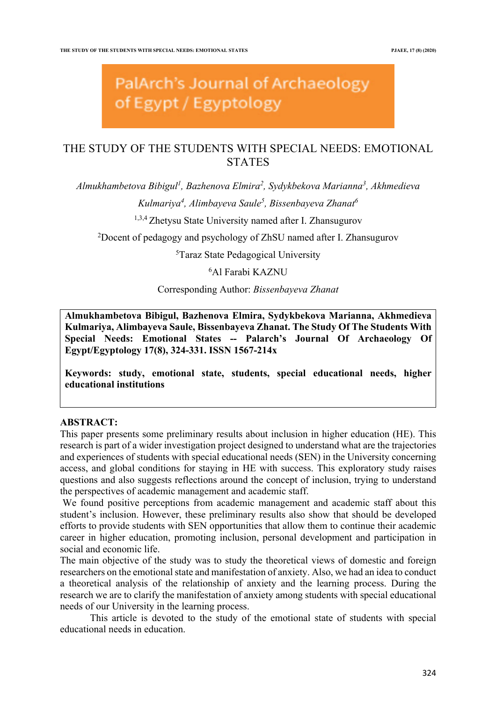# PalArch's Journal of Archaeology of Egypt / Egyptology

## THE STUDY OF THE STUDENTS WITH SPECIAL NEEDS: EMOTIONAL **STATES**

*Almukhambetova Bibigul1 , Bazhenova Elmira2 , Sydykbekova Marianna3 , Akhmedieva* 

*Kulmariya4 , Alimbayeva Saule5 , Bissenbayeva Zhanat6*

1,3,4 Zhetysu State University named after I. Zhansugurov

<sup>2</sup>Docent of pedagogy and psychology of ZhSU named after I. Zhansugurov

5 Taraz State Pedagogical University

## 6 Al Farabi KAZNU

Corresponding Author: *Bissenbayeva Zhanat*

**Almukhambetova Bibigul, Bazhenova Elmira, Sydykbekova Marianna, Akhmedieva Kulmariya, Alimbayeva Saule, Bissenbayeva Zhanat. The Study Of The Students With Special Needs: Emotional States -- Palarch's Journal Of Archaeology Of Egypt/Egyptology 17(8), 324-331. ISSN 1567-214x**

**Keywords: study, emotional state, students, special educational needs, higher educational institutions**

## **ABSTRACT:**

This paper presents some preliminary results about inclusion in higher education (HE). This research is part of a wider investigation project designed to understand what are the trajectories and experiences of students with special educational needs (SEN) in the University concerning access, and global conditions for staying in HE with success. This exploratory study raises questions and also suggests reflections around the concept of inclusion, trying to understand the perspectives of academic management and academic staff.

We found positive perceptions from academic management and academic staff about this student's inclusion. However, these preliminary results also show that should be developed efforts to provide students with SEN opportunities that allow them to continue their academic career in higher education, promoting inclusion, personal development and participation in social and economic life.

The main objective of the study was to study the theoretical views of domestic and foreign researchers on the emotional state and manifestation of anxiety. Also, we had an idea to conduct a theoretical analysis of the relationship of anxiety and the learning process. During the research we are to clarify the manifestation of anxiety among students with special educational needs of our University in the learning process.

This article is devoted to the study of the emotional state of students with special educational needs in education.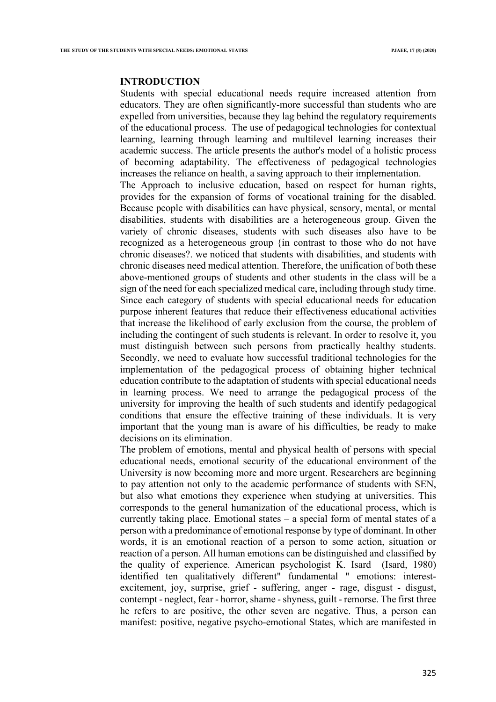#### **INTRODUCTION**

Students with special educational needs require increased attention from educators. They are often significantly-more successful than students who are expelled from universities, because they lag behind the regulatory requirements of the educational process. The use of pedagogical technologies for contextual learning, learning through learning and multilevel learning increases their academic success. The article presents the author's model of a holistic process of becoming adaptability. The effectiveness of pedagogical technologies increases the reliance on health, a saving approach to their implementation. The Approach to inclusive education, based on respect for human rights,

provides for the expansion of forms of vocational training for the disabled. Because people with disabilities can have physical, sensory, mental, or mental disabilities, students with disabilities are a heterogeneous group. Given the variety of chronic diseases, students with such diseases also have to be recognized as a heterogeneous group {in contrast to those who do not have chronic diseases?. we noticed that students with disabilities, and students with chronic diseases need medical attention. Therefore, the unification of both these above-mentioned groups of students and other students in the class will be a sign of the need for each specialized medical care, including through study time. Since each category of students with special educational needs for education purpose inherent features that reduce their effectiveness educational activities that increase the likelihood of early exclusion from the course, the problem of including the contingent of such students is relevant. In order to resolve it, you must distinguish between such persons from practically healthy students. Secondly, we need to evaluate how successful traditional technologies for the implementation of the pedagogical process of obtaining higher technical education contribute to the adaptation of students with special educational needs in learning process. We need to arrange the pedagogical process of the university for improving the health of such students and identify pedagogical conditions that ensure the effective training of these individuals. It is very important that the young man is aware of his difficulties, be ready to make decisions on its elimination.

The problem of emotions, mental and physical health of persons with special educational needs, emotional security of the educational environment of the University is now becoming more and more urgent. Researchers are beginning to pay attention not only to the academic performance of students with SEN, but also what emotions they experience when studying at universities. This corresponds to the general humanization of the educational process, which is currently taking place. Emotional states – a special form of mental states of a person with a predominance of emotional response by type of dominant. In other words, it is an emotional reaction of a person to some action, situation or reaction of a person. All human emotions can be distinguished and classified by the quality of experience. American psychologist K. Isard (Isard, 1980) identified ten qualitatively different" fundamental " emotions: interestexcitement, joy, surprise, grief - suffering, anger - rage, disgust - disgust, contempt - neglect, fear - horror, shame - shyness, guilt - remorse. The first three he refers to are positive, the other seven are negative. Thus, a person can manifest: positive, negative psycho-emotional States, which are manifested in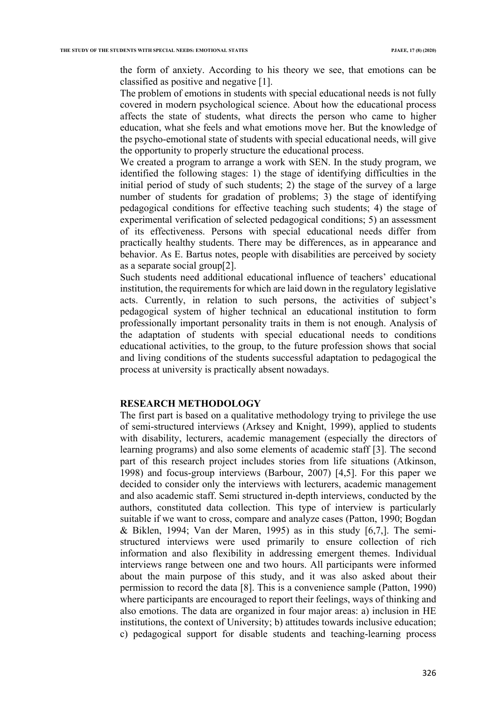the form of anxiety. According to his theory we see, that emotions can be classified as positive and negative [1].

The problem of emotions in students with special educational needs is not fully covered in modern psychological science. About how the educational process affects the state of students, what directs the person who came to higher education, what she feels and what emotions move her. But the knowledge of the psycho-emotional state of students with special educational needs, will give the opportunity to properly structure the educational process.

We created a program to arrange a work with SEN. In the study program, we identified the following stages: 1) the stage of identifying difficulties in the initial period of study of such students; 2) the stage of the survey of a large number of students for gradation of problems; 3) the stage of identifying pedagogical conditions for effective teaching such students; 4) the stage of experimental verification of selected pedagogical conditions; 5) an assessment of its effectiveness. Persons with special educational needs differ from practically healthy students. There may be differences, as in appearance and behavior. As E. Bartus notes, people with disabilities are perceived by society as a separate social group[2].

Such students need additional educational influence of teachers' educational institution, the requirements for which are laid down in the regulatory legislative acts. Currently, in relation to such persons, the activities of subject's pedagogical system of higher technical an educational institution to form professionally important personality traits in them is not enough. Analysis of the adaptation of students with special educational needs to conditions educational activities, to the group, to the future profession shows that social and living conditions of the students successful adaptation to pedagogical the process at university is practically absent nowadays.

#### **RESEARCH METHODOLOGY**

The first part is based on a qualitative methodology trying to privilege the use of semi-structured interviews (Arksey and Knight, 1999), applied to students with disability, lecturers, academic management (especially the directors of learning programs) and also some elements of academic staff [3]. The second part of this research project includes stories from life situations (Atkinson, 1998) and focus-group interviews (Barbour, 2007) [4,5]. For this paper we decided to consider only the interviews with lecturers, academic management and also academic staff. Semi structured in-depth interviews, conducted by the authors, constituted data collection. This type of interview is particularly suitable if we want to cross, compare and analyze cases (Patton, 1990; Bogdan & Biklen, 1994; Van der Maren, 1995) as in this study [6,7,]. The semistructured interviews were used primarily to ensure collection of rich information and also flexibility in addressing emergent themes. Individual interviews range between one and two hours. All participants were informed about the main purpose of this study, and it was also asked about their permission to record the data [8]. This is a convenience sample (Patton, 1990) where participants are encouraged to report their feelings, ways of thinking and also emotions. The data are organized in four major areas: a) inclusion in HE institutions, the context of University; b) attitudes towards inclusive education; c) pedagogical support for disable students and teaching-learning process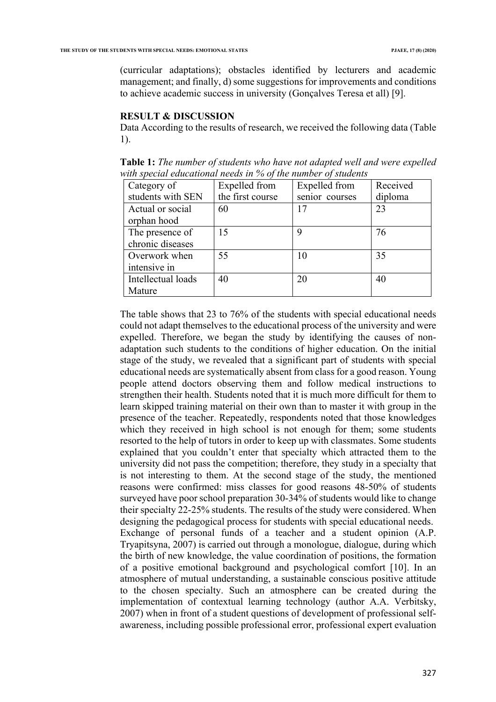(curricular adaptations); obstacles identified by lecturers and academic management; and finally, d) some suggestions for improvements and conditions to achieve academic success in university (Gonçalves Teresa et all) [9].

### **RESULT & DISCUSSION**

Data According to the results of research, we received the following data (Table 1).

**Table 1:** *The number of students who have not adapted well and were expelled with special educational needs in % of the number of students*

| Category of                         | Expelled from    | Expelled from  | Received |
|-------------------------------------|------------------|----------------|----------|
| students with SEN                   | the first course | senior courses | diploma  |
| Actual or social<br>orphan hood     | 60               | 17             | 23       |
| The presence of<br>chronic diseases | 15               | 9              | 76       |
| Overwork when<br>intensive in       | 55               | 10             | 35       |
| Intellectual loads<br>Mature        | 40               | 20             | 40       |

The table shows that 23 to 76% of the students with special educational needs could not adapt themselves to the educational process of the university and were expelled. Therefore, we began the study by identifying the causes of nonadaptation such students to the conditions of higher education. On the initial stage of the study, we revealed that a significant part of students with special educational needs are systematically absent from class for a good reason. Young people attend doctors observing them and follow medical instructions to strengthen their health. Students noted that it is much more difficult for them to learn skipped training material on their own than to master it with group in the presence of the teacher. Repeatedly, respondents noted that those knowledges which they received in high school is not enough for them; some students resorted to the help of tutors in order to keep up with classmates. Some students explained that you couldn't enter that specialty which attracted them to the university did not pass the competition; therefore, they study in a specialty that is not interesting to them. At the second stage of the study, the mentioned reasons were confirmed: miss classes for good reasons 48-50% of students surveyed have poor school preparation 30-34% of students would like to change their specialty 22-25% students. The results of the study were considered. When designing the pedagogical process for students with special educational needs. Exchange of personal funds of a teacher and a student opinion (A.P. Tryapitsyna, 2007) is carried out through a monologue, dialogue, during which the birth of new knowledge, the value coordination of positions, the formation of a positive emotional background and psychological comfort [10]. In an atmosphere of mutual understanding, a sustainable conscious positive attitude to the chosen specialty. Such an atmosphere can be created during the implementation of contextual learning technology (author A.A. Verbitsky, 2007) when in front of a student questions of development of professional selfawareness, including possible professional error, professional expert evaluation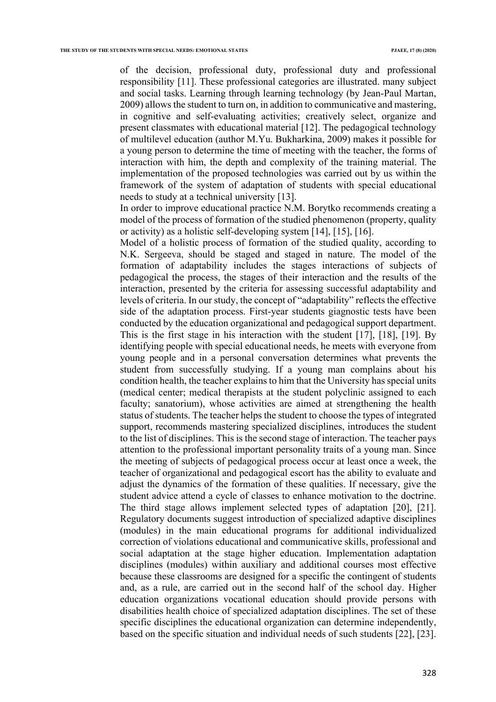of the decision, professional duty, professional duty and professional responsibility [11]. These professional categories are illustrated. many subject and social tasks. Learning through learning technology (by Jean-Paul Martan, 2009) allows the student to turn on, in addition to communicative and mastering, in cognitive and self-evaluating activities; creatively select, organize and present classmates with educational material [12]. The pedagogical technology of multilevel education (author M.Yu. Bukharkina, 2009) makes it possible for a young person to determine the time of meeting with the teacher, the forms of interaction with him, the depth and complexity of the training material. The implementation of the proposed technologies was carried out by us within the framework of the system of adaptation of students with special educational needs to study at a technical university [13].

In order to improve educational practice N.M. Borytko recommends creating a model of the process of formation of the studied phenomenon (property, quality or activity) as a holistic self-developing system [14], [15], [16].

Model of a holistic process of formation of the studied quality, according to N.K. Sergeeva, should be staged and staged in nature. The model of the formation of adaptability includes the stages interactions of subjects of pedagogical the process, the stages of their interaction and the results of the interaction, presented by the criteria for assessing successful adaptability and levels of criteria. In our study, the concept of "adaptability" reflects the effective side of the adaptation process. First-year students giagnostic tests have been conducted by the education organizational and pedagogical support department. This is the first stage in his interaction with the student [17], [18], [19]. By identifying people with special educational needs, he meets with everyone from young people and in a personal conversation determines what prevents the student from successfully studying. If a young man complains about his condition health, the teacher explains to him that the University has special units (medical center; medical therapists at the student polyclinic assigned to each faculty; sanatorium), whose activities are aimed at strengthening the health status of students. The teacher helps the student to choose the types of integrated support, recommends mastering specialized disciplines, introduces the student to the list of disciplines. This is the second stage of interaction. The teacher pays attention to the professional important personality traits of a young man. Since the meeting of subjects of pedagogical process occur at least once a week, the teacher of organizational and pedagogical escort has the ability to evaluate and adjust the dynamics of the formation of these qualities. If necessary, give the student advice attend a cycle of classes to enhance motivation to the doctrine. The third stage allows implement selected types of adaptation [20], [21]. Regulatory documents suggest introduction of specialized adaptive disciplines (modules) in the main educational programs for additional individualized correction of violations educational and communicative skills, professional and social adaptation at the stage higher education. Implementation adaptation disciplines (modules) within auxiliary and additional courses most effective because these classrooms are designed for a specific the contingent of students and, as a rule, are carried out in the second half of the school day. Higher education organizations vocational education should provide persons with disabilities health choice of specialized adaptation disciplines. The set of these specific disciplines the educational organization can determine independently, based on the specific situation and individual needs of such students [22], [23].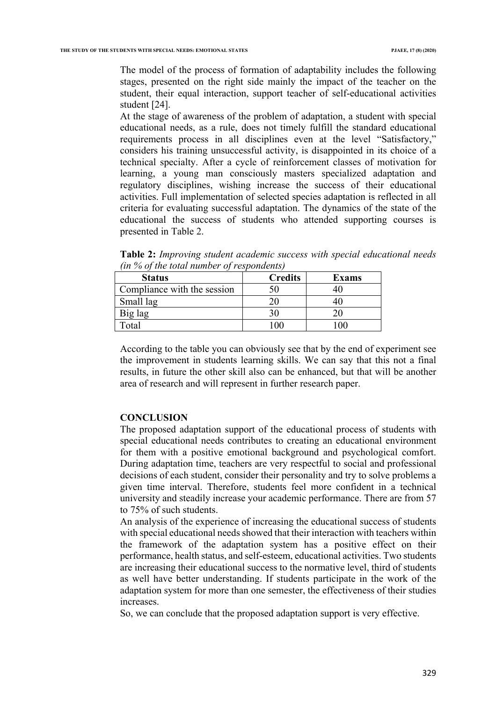The model of the process of formation of adaptability includes the following stages, presented on the right side mainly the impact of the teacher on the student, their equal interaction, support teacher of self-educational activities student [24].

At the stage of awareness of the problem of adaptation, a student with special educational needs, as a rule, does not timely fulfill the standard educational requirements process in all disciplines even at the level "Satisfactory," considers his training unsuccessful activity, is disappointed in its choice of a technical specialty. After a cycle of reinforcement classes of motivation for learning, a young man consciously masters specialized adaptation and regulatory disciplines, wishing increase the success of their educational activities. Full implementation of selected species adaptation is reflected in all criteria for evaluating successful adaptation. The dynamics of the state of the educational the success of students who attended supporting courses is presented in Table 2.

| $\mu$ , $\sigma$ of the total named of respondents, |                |              |  |
|-----------------------------------------------------|----------------|--------------|--|
| <b>Status</b>                                       | <b>Credits</b> | <b>Exams</b> |  |
| Compliance with the session                         |                |              |  |
| Small lag                                           |                |              |  |
| Big lag                                             |                |              |  |
| Total                                               |                |              |  |

**Table 2:** *Improving student academic success with special educational needs (in % of the total number of respondents)*

According to the table you can obviously see that by the end of experiment see the improvement in students learning skills. We can say that this not a final results, in future the other skill also can be enhanced, but that will be another area of research and will represent in further research paper.

#### **CONCLUSION**

The proposed adaptation support of the educational process of students with special educational needs contributes to creating an educational environment for them with a positive emotional background and psychological comfort. During adaptation time, teachers are very respectful to social and professional decisions of each student, consider their personality and try to solve problems a given time interval. Therefore, students feel more confident in a technical university and steadily increase your academic performance. There are from 57 to 75% of such students.

An analysis of the experience of increasing the educational success of students with special educational needs showed that their interaction with teachers within the framework of the adaptation system has a positive effect on their performance, health status, and self-esteem, educational activities. Two students are increasing their educational success to the normative level, third of students as well have better understanding. If students participate in the work of the adaptation system for more than one semester, the effectiveness of their studies increases.

So, we can conclude that the proposed adaptation support is very effective.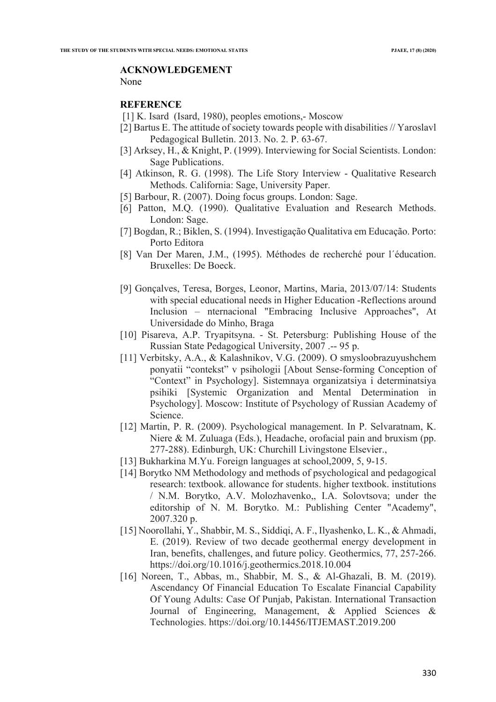#### **ACKNOWLEDGEMENT**

None

#### **REFERENCE**

- [1] K. Isard (Isard, 1980), peoples emotions,- Moscow
- [2] Bartus E. The attitude of society towards people with disabilities // Yaroslavl Pedagogical Bulletin. 2013. No. 2. P. 63-67.
- [3] Arksey, H., & Knight, P. (1999). Interviewing for Social Scientists. London: Sage Publications.
- [4] Atkinson, R. G. (1998). The Life Story Interview Qualitative Research Methods. California: Sage, University Paper.
- [5] Barbour, R. (2007). Doing focus groups. London: Sage.
- [6] Patton, M.Q. (1990). Qualitative Evaluation and Research Methods. London: Sage.
- [7] Bogdan, R.; Biklen, S. (1994). Investigação Qualitativa em Educação. Porto: Porto Editora
- [8] Van Der Maren, J.M., (1995). Méthodes de recherché pour l´éducation. Bruxelles: De Boeck.
- [9] Gonçalves, Teresa, Borges, Leonor, Martins, Maria, 2013/07/14: Students with special educational needs in Higher Education -Reflections around Inclusion – nternacional "Embracing Inclusive Approaches", At Universidade do Minho, Braga
- [10] Pisareva, A.P. Tryapitsyna. St. Petersburg: Publishing House of the Russian State Pedagogical University, 2007 .-- 95 p.
- [11] Verbitsky, A.A., & Kalashnikov, V.G. (2009). O smysloobrazuyushchem ponyatii "contekst" v psihologii [About Sense-forming Conception of "Context" in Psychology]. Sistemnaya organizatsiya i determinatsiya psihiki [Systemic Organization and Mental Determination in Psychology]. Moscow: Institute of Psychology of Russian Academy of Science.
- [12] Martin, P. R. (2009). Psychological management. In P. Selvaratnam, K. Niere & M. Zuluaga (Eds.), Headache, orofacial pain and bruxism (pp. 277-288). Edinburgh, UK: Churchill Livingstone Elsevier.,
- [13] Bukharkina M.Yu. Foreign languages at school, 2009, 5, 9-15.
- [14] Borytko NM Methodology and methods of psychological and pedagogical research: textbook. allowance for students. higher textbook. institutions / N.M. Borytko, A.V. Molozhavenko,, I.A. Solovtsova; under the editorship of N. M. Borytko. M.: Publishing Center "Academy", 2007.320 p.
- [15] Noorollahi, Y., Shabbir, M. S., Siddiqi, A. F., Ilyashenko, L. K., & Ahmadi, E. (2019). Review of two decade geothermal energy development in Iran, benefits, challenges, and future policy. Geothermics, 77, 257-266. https://doi.org/10.1016/j.geothermics.2018.10.004
- [16] Noreen, T., Abbas, m., Shabbir, M. S., & Al-Ghazali, B. M. (2019). Ascendancy Of Financial Education To Escalate Financial Capability Of Young Adults: Case Of Punjab, Pakistan. International Transaction Journal of Engineering, Management, & Applied Sciences & Technologies. https://doi.org/10.14456/ITJEMAST.2019.200